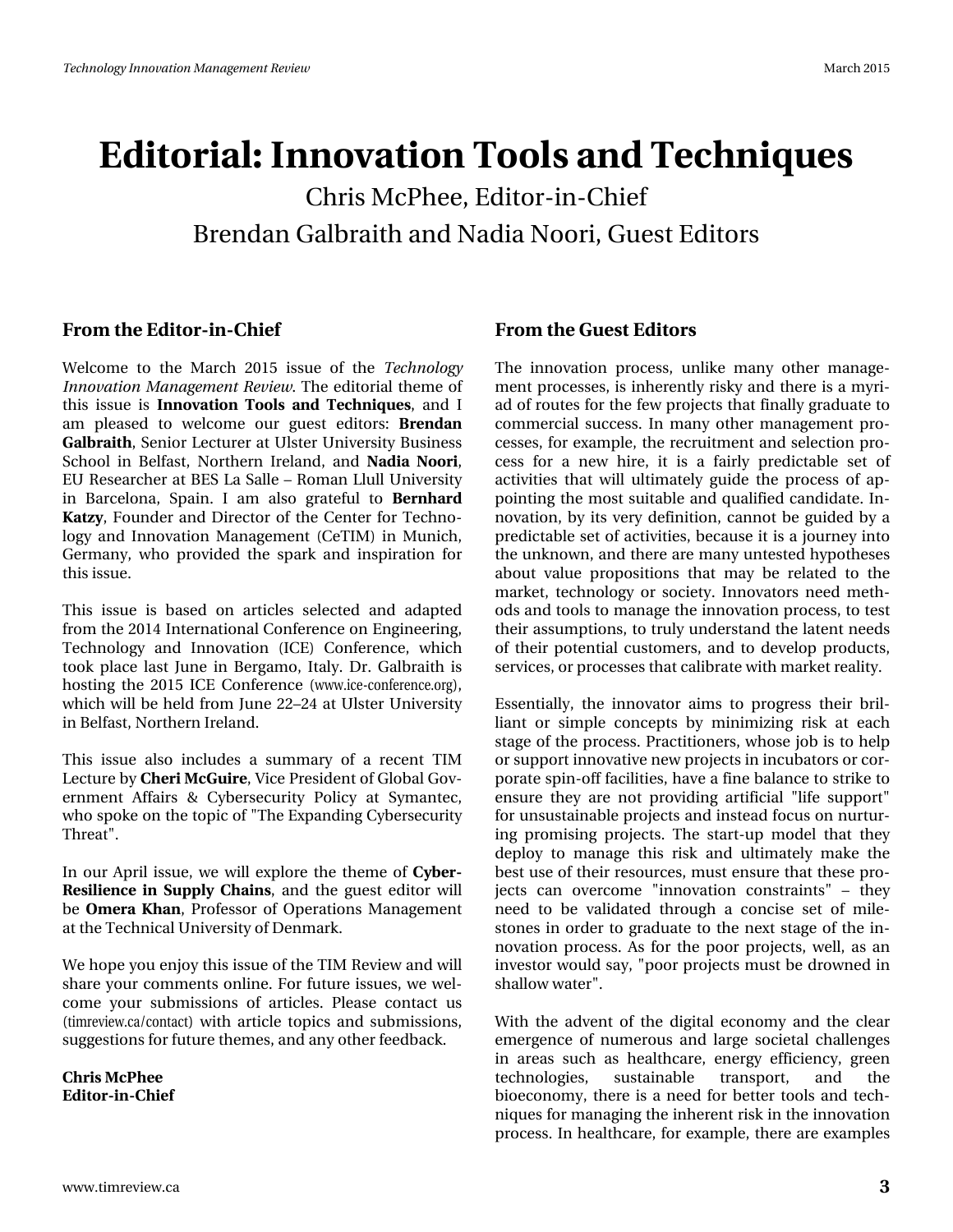# Hgiw uldo#Lqqrydwrq#Wrro/#Jqg#Whfkqltxhv Fkuv# fSkhh/#-Iglw u0q0Fklhi Euhqgdq#J doeudlwk#dqg#Qdgld#Qrrul/#J xhw#Hglwruv

### I urp #wkh#Hglwru0lq0Fklhi

Z hof r p h#wr #wkh#P duf k#5348#I wxh#r i #wkh#Whf k q r or j | Lggrydwr g#P dgdj hp hgw#Uhylhz #AWkh#hglwr uldo#wk hp h#ri# wklv#lwxh#lv#Lqqrydwlrq#Nrrov#dqg#Nhfkqltxhv/#dqg#L# dp #sohdvhg#wr#zhofrph#rxu#jxhvw#hglwruv=#Euhqgdq J doeudlwk/#Vhalru#Onfwxuhu#dw#Xovwhu#Xalyhuvlwl#Exvlahvv# Vfkrro#lq#Ehoidvw#Qruwkhuq#Luhodqg/#dqg#Qdgld#Qrrul/# HX#Uhvhdufkhu#dw#EHV#Od#Vdoch##Urpdq#Ooxoo#Xqlyhuvlw|# lq#Eduf hor qd/#Vsdlq#L#dp #dovr#judwhixo#wr#Ehuqkdug# Ndw) /# rxgghu#dgg#Gluhfwru#ri#wkh#Fhgwhu#iru#Whfkgr0 σ j | #dqg#Lqqr ydwlr q#P dqdj hp hqw#+FhWLP, #lq#P xqlf k/# J hup dq|/#z kr#surylghg#wkh#vsdun#dqg#lqvsludwirq#iru# wklv#wxh1

Willy#I wx h#I v#edvhg#r q#duwf dnv#vhdnf vhg#dqg#dgds vhg# iurp #wkh#5347#Lqwhuqdwlrqdd#Frqihuhqfh#q#Hqjlqhhulqj/# Whikaroril#dag#Lagrydwrg#+LFH,#Frgihuhgfh/#zklfk# wrn#sodfh#odvw#Mxtqh#tq#Ehujdpr/#Lwdoj#Gu/#Jdoeudiwk#lv# kr vwlqj #wkh#5348#LFH#Frqihuhqfh#+zzz1fh0frqihuhqfhtuj,/# z klfk#z loo#eh#khog# urp #Mxigh#55'57#dw#Xowhu#Xqlyhuvlw|# lg#Ehoidw#Auruwkhug#uhodgg1#

Wilv#Iwxh#dovr#Iqfoxghv#d#vxppdul#ri#d#uhfhqw#WLP On fwx uh#e|#Fk hul#PfJx luh/#Ylfh#Suhvlghqw#i#Joredo#Jry0 hugp hqw#Diidluv#) #F|ehuvhf x ulw #Sr of | #dw#V| p dqwhf/# z kr#vsrnh#q#wkh#wrslf#ti#%Wkh#H{sdqglqj#F|ehuvhfxulw|# Wk uhdw<sup>2</sup>

Lq# xu#Dsuld# wxh/#z h#z loo#h{soruh#wkh#wkhp h#ri#F|ehu0 Uhvidhqfh#lq#Vxssq#Fkdlqv/#dqg#wkh#jxhvw#hglwru#zloo# eh#Rp hud#Nkdq/#Surihvvru#ri#Rshudwlrqv#Pdqdjhphqw# dwww.kh#Whfkqlfdd#Xqlyhuvlw|#i#Ghqpdun1

Z h#krsh#rx#hqm|#wklv#lvxh#i#wkh#NLP#Uhylhz#dqg#zloo# vkduh #rxu#rpphqw #rqolqh #lru#xwxuh #vvxhv/#zh #zho0 frp h#|rxu#vxeplwlrqv#ri#duwlfohv1#Sohdvh#frqwdfw#xv# +wip uhylhz 1fd2frqwdfw,#zlwk.#duwlfdn#wrslfv#dqg#vxeplwlrqv/# vxjj hvwlr qv#r u#xwx uh#wk hp hv/#dqg#dq| # wk hu#hhgedfn1

Fkulv# fSkhh Hglw u0q0Fklhi I urp#wkh#Jxhvv#HqIwruv

Wikh#Iqqr ydw'r q#sur f hw/#xqdnh#p dq| #r wkhu#p dqdj h0 p hqwtsurfhwhv/#v#qkhuhqwoj#ulvn|#dqg#wkhuh#v#d#p | ul0  $dg$ # i#urxwhv#iru#wkh#hz#surmhfw#wkdw#llqdool#udgxdwh#wr# frpphufldo#vxffhw#Lq#pdq|#rwkhu#pdqdjhphqw#sur0 fhwhy/#tru#h{dpsdn/#wkh#uhfuxlwphqw#dqg#vhohfwlrq#sur0 f hw#iru#d#qhz#kluh/#lw#lv#d#idluo|#suhglfwdedn#vhw#ri# dfwlylwhv#wkdw#zloo#xowlpdwho|#jxlgh#wkh#surfhvv#ri#ds0 srlgwigi#wkh#prw#wxlwdedh#dqg#txdolilhg#dqglgdwh1#Lq0 qrydw'r g/#e|#lw#yhu|#ghilglw'r g/#fdggrw#eh#jxlghg#e|#d# suhglfwdeoh#vhw#i#dfwlylwlhv/#ehfdxvh#lw#v#d#mxuqh|#qwr# wkh#xqnqrzq/#dqg#wkhuh#duh#pdq|#xqwhwhg#k|srwkhvhv# der xw#ydoxh#sursrvlwlrqv#wkdw#pd|#eh#uhodwhg#wr#wkh# p dunhw#whfkqrorj|#ru#vrflhw|#Lqqrydwruv#qhhq#phwk0 r gv#dqg#wrrov#wr#p dqdjh#wkh#lqqrydwlrq#surfhw/#wr#whww# wk.hlu#dvvxpswlrqv/#wr#wuxdj#xqghuvvddqg#wkh#odwhqw#qhhgv# ri#wkhlu#srwhqwldd#ixwwrphuv/#dqg#wr#ghyhors#surgxfwv/# vhuylf hv/# uちur f hvvhv#k dv# ddeudvh# lvk # dunhv#uhddvl #

Hwhawdod /#wkh#lagrydwru#dlpv#wr#surjuhw#wkhlu#eulo0 ddqw#ru#vlpsdn#frqfhsw#e|#plqlpl}lqj#ulvn#dw#hdfk# wodjh#i#wkh#surfhw#SudfwWrqhuv/#zkrvh#me#v#wr#khos# ru#vxssruw#qqrydwlyh#qhz#surmhfww#q#lqfxedwruw#u#fru0 srudvh#vslq0rii#dflolvl/hv/#kdyh#d#llqh#edodqfh#wr#wulnh#wr# hqvxuh#wkh|#duh#qrw#surylglqj#duwlilfldd#%dih#vxssruw%# iru#xqvxvvollqdeoh#surmhfw#dqg#lqvvhdg#lrfxv#rq#qxuwxu0 lqj#surplvlqj#surmhfww#Wkh#woduw0xs#prgho#wkdw#wkh|#  $g$ hs  $g$  | #ww #p dqdj h#wklv#ulvn#dqg#xowlp dwhol #p dnh#wkh# ehvw wh#i#wkhlu#uhvrxufhv/#pxw#hqvxuh#wkdw#wkhvh#sur0 rhfw#fdg#ryhufrph#%Ggrydwtrg#frgwwdlgw%#'#wkh|# qhhg#wr#eh#yddgdwhg#wkurxik#d#frqflvh#vhw#ri#pldn0 www.qhv#q#rughu#wr#judgxdvh#wr#wkh#qh{w#wodjh#ri#wkh#lq0 grydw'r g#surfhw 1#Dv#iru#wkh#srru#surmhfwv/#zhoo/#dv#dg# lqyhworu#zrxog#vd|/#%srru#surmhfw#pxw#eh#gurzqhg#lq# vkdoor z #z dwhu%#

Z lvk:#wkh#dgyhqw#ri#wkh#gljlwdd#hfrgrp |#dgg#wkh#fdndu# hp huj hqf h#r i#qxp hur xv#dqg#oduj h#vr flhwdo#fk doohqj hv# lq#duhdv#vxfk#dv#khdowkfduh/#hqhuj|#hiilflhqf|/#juhhq# whikqrorjlhv/# vxvwdlqdeoh# wudqvsruw/# dqg# wkh# elrhfrqrp | /#wkhuh#lv#d#qhhg#iru#ehwwhu#wrrov#dqg#whfk0 qlt xhv#ru#p dqdjlqj#wkh#qkhuhqw#Jvn#q#wkh#qqrydwlrq# surfhvv#Lq#khdowkfduh/#iru#h{dpsdn/#wkhuh#duh#h{dpsdnv#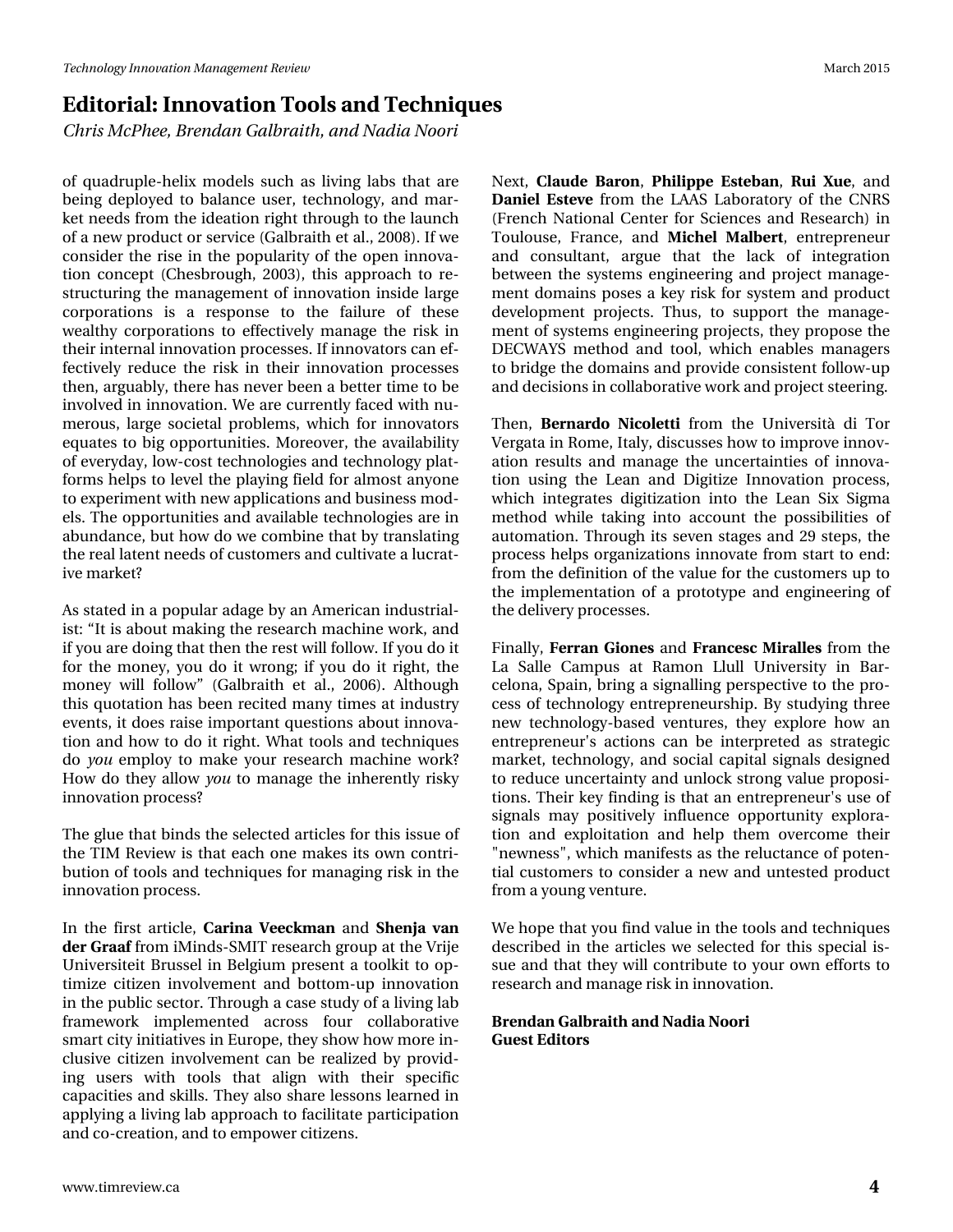# **Editorial: Innovation Tools and Techniques**

*Chris McPhee, Brendan Galbraith, and Nadia Noori*

of quadruple-helix models such as living labs that are being deployed to balance user, technology, and market needs from the ideation right through to the launch of a new product or service (Galbraith et al., 2008). If we consider the rise in the popularity of the open innovation concept (Chesbrough, 2003), this approach to restructuring the management of innovation inside large corporations is a response to the failure of these wealthy corporations to effectively manage the risk in their internal innovation processes. If innovators can effectively reduce the risk in their innovation processes then, arguably, there has never been a better time to be involved in innovation. We are currently faced with numerous, large societal problems, which for innovators equates to big opportunities. Moreover, the availability of everyday, low-cost technologies and technology platforms helps to level the playing field for almost anyone to experiment with new applications and business models. The opportunities and available technologies are in abundance, but how do we combine that by translating the real latent needs of customers and cultivate a lucrative market?

As stated in a popular adage by an American industrialist: "It is about making the research machine work, and if you are doing that then the rest will follow. If you do it for the money, you do it wrong; if you do it right, the money will follow" (Galbraith et al., 2006). Although this quotation has been recited many times at industry events, it does raise important questions about innovation and how to do it right. What tools and techniques do *you* employ to make your research machine work? How do they allow *you* to manage the inherently risky innovation process?

The glue that binds the selected articles for this issue of the TIM Review is that each one makes its own contribution of tools and techniques for managing risk in the innovation process.

In the first article, **Carina Veeckman** and **Shenja van der Graaf** from iMinds-SMIT research group at the Vrije Universiteit Brussel in Belgium present a toolkit to optimize citizen involvement and bottom-up innovation in the public sector. Through a case study of a living lab framework implemented across four collaborative smart city initiatives in Europe, they show how more inclusive citizen involvement can be realized by providing users with tools that align with their specific capacities and skills. They also share lessons learned in applying a living lab approach to facilitate participation and co-creation, and to empower citizens.

Next, **Claude Baron**, **Philippe Esteban**, **Rui Xue**, and **Daniel Esteve** from the LAAS Laboratory of the CNRS (French National Center for Sciences and Research) in Toulouse, France, and **Michel Malbert**, entrepreneur and consultant, argue that the lack of integration between the systems engineering and project management domains poses a key risk for system and product development projects. Thus, to support the management of systems engineering projects, they propose the DECWAYS method and tool, which enables managers to bridge the domains and provide consistent follow-up and decisions in collaborative work and project steering.

Then, **Bernardo Nicoletti** from the Università di Tor Vergata in Rome, Italy, discusses how to improve innovation results and manage the uncertainties of innovation using the Lean and Digitize Innovation process, which integrates digitization into the Lean Six Sigma method while taking into account the possibilities of automation. Through its seven stages and 29 steps, the process helps organizations innovate from start to end: from the definition of the value for the customers up to the implementation of a prototype and engineering of the delivery processes.

Finally, **Ferran Giones** and **Francesc Miralles** from the La Salle Campus at Ramon Llull University in Barcelona, Spain, bring a signalling perspective to the process of technology entrepreneurship. By studying three new technology-based ventures, they explore how an entrepreneur's actions can be interpreted as strategic market, technology, and social capital signals designed to reduce uncertainty and unlock strong value propositions. Their key finding is that an entrepreneur's use of signals may positively influence opportunity exploration and exploitation and help them overcome their "newness", which manifests as the reluctance of potential customers to consider a new and untested product from a young venture.

We hope that you find value in the tools and techniques described in the articles we selected for this special issue and that they will contribute to your own efforts to research and manage risk in innovation.

#### **Brendan Galbraith and Nadia Noori Guest Editors**